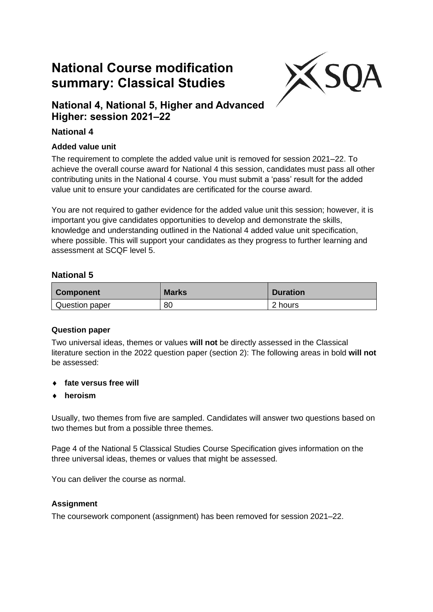# **National Course modification summary: Classical Studies**



# **National 4, National 5, Higher and Advanced Higher: session 2021–22**

## **National 4**

#### **Added value unit**

The requirement to complete the added value unit is removed for session 2021–22. To achieve the overall course award for National 4 this session, candidates must pass all other contributing units in the National 4 course. You must submit a 'pass' result for the added value unit to ensure your candidates are certificated for the course award.

You are not required to gather evidence for the added value unit this session; however, it is important you give candidates opportunities to develop and demonstrate the skills, knowledge and understanding outlined in the National 4 added value unit specification, where possible. This will support your candidates as they progress to further learning and assessment at SCQF level 5.

#### **National 5**

| <b>Component</b> | <b>Marks</b> | <b>Duration</b> |
|------------------|--------------|-----------------|
| Question paper   | 80           | 2 hours         |

#### **Question paper**

Two universal ideas, themes or values **will not** be directly assessed in the Classical literature section in the 2022 question paper (section 2): The following areas in bold **will not** be assessed:

- **fate versus free will**
- **heroism**

Usually, two themes from five are sampled. Candidates will answer two questions based on two themes but from a possible three themes.

Page 4 of the National 5 Classical Studies Course Specification gives information on the three universal ideas, themes or values that might be assessed.

You can deliver the course as normal.

#### **Assignment**

The coursework component (assignment) has been removed for session 2021–22.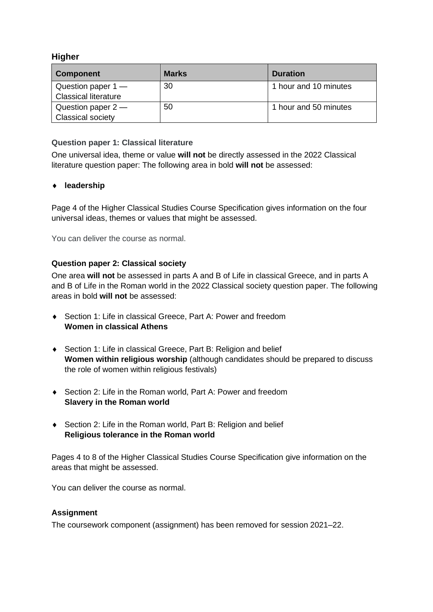#### **Higher**

| <b>Component</b>                                    | <b>Marks</b> | <b>Duration</b>       |
|-----------------------------------------------------|--------------|-----------------------|
| Question paper $1 -$<br><b>Classical literature</b> | 30           | 1 hour and 10 minutes |
| Question paper $2-$<br><b>Classical society</b>     | 50           | 1 hour and 50 minutes |

#### **Question paper 1: Classical literature**

One universal idea, theme or value **will not** be directly assessed in the 2022 Classical literature question paper: The following area in bold **will not** be assessed:

#### **leadership**

Page 4 of the Higher Classical Studies Course Specification gives information on the four universal ideas, themes or values that might be assessed.

You can deliver the course as normal.

#### **Question paper 2: Classical society**

One area **will not** be assessed in parts A and B of Life in classical Greece, and in parts A and B of Life in the Roman world in the 2022 Classical society question paper. The following areas in bold **will not** be assessed:

- ◆ Section 1: Life in classical Greece, Part A: Power and freedom **Women in classical Athens**
- ◆ Section 1: Life in classical Greece, Part B: Religion and belief **Women within religious worship** (although candidates should be prepared to discuss the role of women within religious festivals)
- ◆ Section 2: Life in the Roman world, Part A: Power and freedom **Slavery in the Roman world**
- ◆ Section 2: Life in the Roman world, Part B: Religion and belief **Religious tolerance in the Roman world**

Pages 4 to 8 of the Higher Classical Studies Course Specification give information on the areas that might be assessed.

You can deliver the course as normal.

#### **Assignment**

The coursework component (assignment) has been removed for session 2021–22.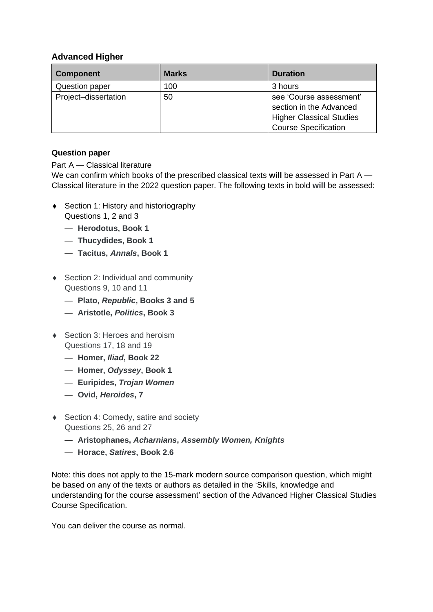## **Advanced Higher**

| <b>Component</b>     | <b>Marks</b> | <b>Duration</b>                                                                                                      |
|----------------------|--------------|----------------------------------------------------------------------------------------------------------------------|
| Question paper       | 100          | 3 hours                                                                                                              |
| Project-dissertation | 50           | see 'Course assessment'<br>section in the Advanced<br><b>Higher Classical Studies</b><br><b>Course Specification</b> |

#### **Question paper**

#### Part A — Classical literature

We can confirm which books of the prescribed classical texts **will** be assessed in Part A — Classical literature in the 2022 question paper. The following texts in bold **will** be assessed:

- ◆ Section 1: History and historiography Questions 1, 2 and 3
	- **Herodotus, Book 1**
	- **Thucydides, Book 1**
	- **Tacitus,** *Annals***, Book 1**
- ◆ Section 2: Individual and community Questions 9, 10 and 11
	- **Plato,** *Republic***, Books 3 and 5**
	- **Aristotle,** *Politics***, Book 3**
- ◆ Section 3: Heroes and heroism Questions 17, 18 and 19
	- **Homer,** *Iliad***, Book 22**
	- **Homer,** *Odyssey***, Book 1**
	- **Euripides,** *Trojan Women*
	- **Ovid,** *Heroides***, 7**
- ◆ Section 4: Comedy, satire and society Questions 25, 26 and 27
	- **Aristophanes,** *Acharnians***,** *Assembly Women, Knights*
	- **Horace,** *Satires***, Book 2.6**

Note: this does not apply to the 15-mark modern source comparison question, which might be based on any of the texts or authors as detailed in the 'Skills, knowledge and understanding for the course assessment' section of the Advanced Higher Classical Studies Course Specification.

You can deliver the course as normal.